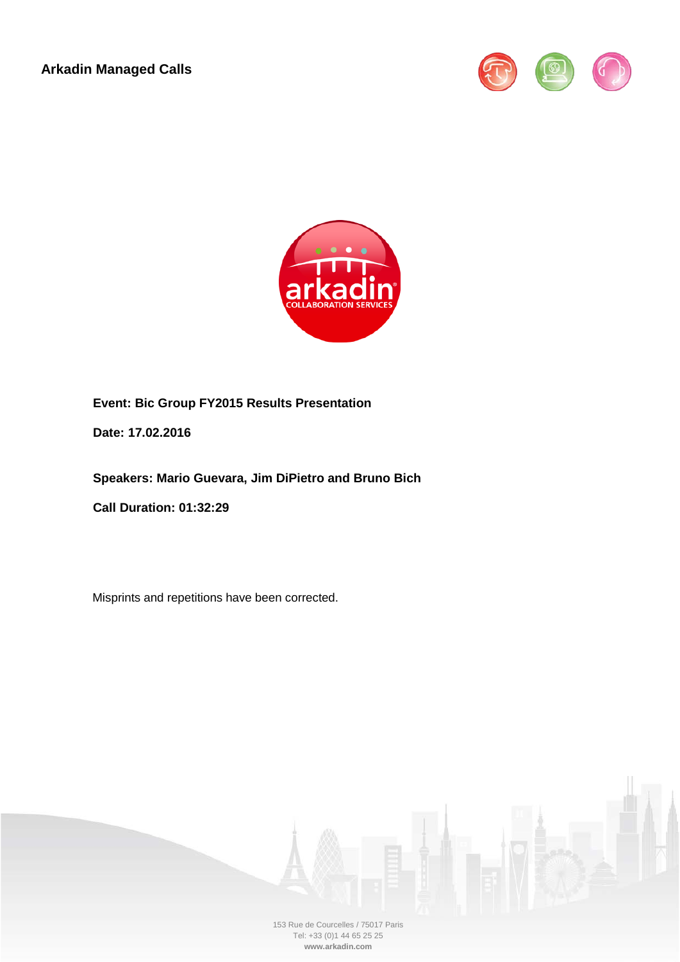**Arkadin Managed Calls**





**Event: Bic Group FY2015 Results Presentation**

**Date: 17.02.2016**

**Speakers: Mario Guevara, Jim DiPietro and Bruno Bich**

**Call Duration: 01:32:29**

Misprints and repetitions have been corrected.



153 Rue de Courcelles / 75017 Paris Tel: +33 (0)1 44 65 25 25 **www.arkadin.com**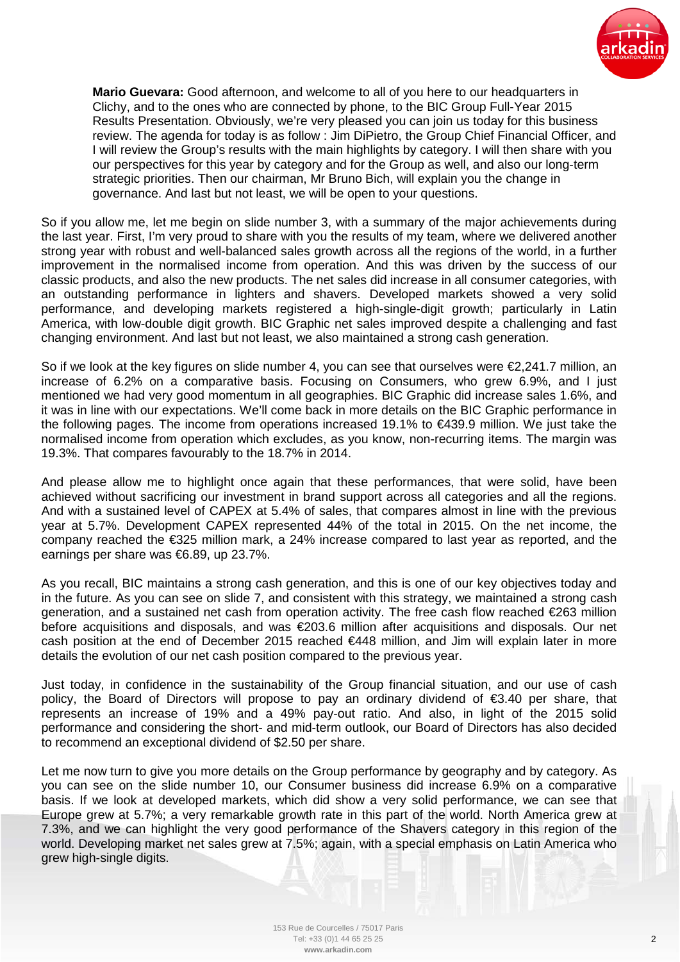

**Mario Guevara:** Good afternoon, and welcome to all of you here to our headquarters in Clichy, and to the ones who are connected by phone, to the BIC Group Full-Year 2015 Results Presentation. Obviously, we're very pleased you can join us today for this business review. The agenda for today is as follow : Jim DiPietro, the Group Chief Financial Officer, and I will review the Group's results with the main highlights by category. I will then share with you our perspectives for this year by category and for the Group as well, and also our long-term strategic priorities. Then our chairman, Mr Bruno Bich, will explain you the change in governance. And last but not least, we will be open to your questions.

So if you allow me, let me begin on slide number 3, with a summary of the major achievements during the last year. First, I'm very proud to share with you the results of my team, where we delivered another strong year with robust and well-balanced sales growth across all the regions of the world, in a further improvement in the normalised income from operation. And this was driven by the success of our classic products, and also the new products. The net sales did increase in all consumer categories, with an outstanding performance in lighters and shavers. Developed markets showed a very solid performance, and developing markets registered a high-single-digit growth; particularly in Latin America, with low-double digit growth. BIC Graphic net sales improved despite a challenging and fast changing environment. And last but not least, we also maintained a strong cash generation.

So if we look at the key figures on slide number 4, you can see that ourselves were €2,241.7 million, an increase of 6.2% on a comparative basis. Focusing on Consumers, who grew 6.9%, and I just mentioned we had very good momentum in all geographies. BIC Graphic did increase sales 1.6%, and it was in line with our expectations. We'll come back in more details on the BIC Graphic performance in the following pages. The income from operations increased 19.1% to €439.9 million. We just take the normalised income from operation which excludes, as you know, non-recurring items. The margin was 19.3%. That compares favourably to the 18.7% in 2014.

And please allow me to highlight once again that these performances, that were solid, have been achieved without sacrificing our investment in brand support across all categories and all the regions. And with a sustained level of CAPEX at 5.4% of sales, that compares almost in line with the previous year at 5.7%. Development CAPEX represented 44% of the total in 2015. On the net income, the company reached the €325 million mark, a 24% increase compared to last year as reported, and the earnings per share was €6.89, up 23.7%.

As you recall, BIC maintains a strong cash generation, and this is one of our key objectives today and in the future. As you can see on slide 7, and consistent with this strategy, we maintained a strong cash generation, and a sustained net cash from operation activity. The free cash flow reached €263 million before acquisitions and disposals, and was €203.6 million after acquisitions and disposals. Our net cash position at the end of December 2015 reached €448 million, and Jim will explain later in more details the evolution of our net cash position compared to the previous year.

Just today, in confidence in the sustainability of the Group financial situation, and our use of cash policy, the Board of Directors will propose to pay an ordinary dividend of €3.40 per share, that represents an increase of 19% and a 49% pay-out ratio. And also, in light of the 2015 solid performance and considering the short- and mid-term outlook, our Board of Directors has also decided to recommend an exceptional dividend of \$2.50 per share.

Let me now turn to give you more details on the Group performance by geography and by category. As you can see on the slide number 10, our Consumer business did increase 6.9% on a comparative basis. If we look at developed markets, which did show a very solid performance, we can see that Europe grew at 5.7%; a very remarkable growth rate in this part of the world. North America grew at 7.3%, and we can highlight the very good performance of the Shavers category in this region of the world. Developing market net sales grew at 7.5%; again, with a special emphasis on Latin America who grew high-single digits.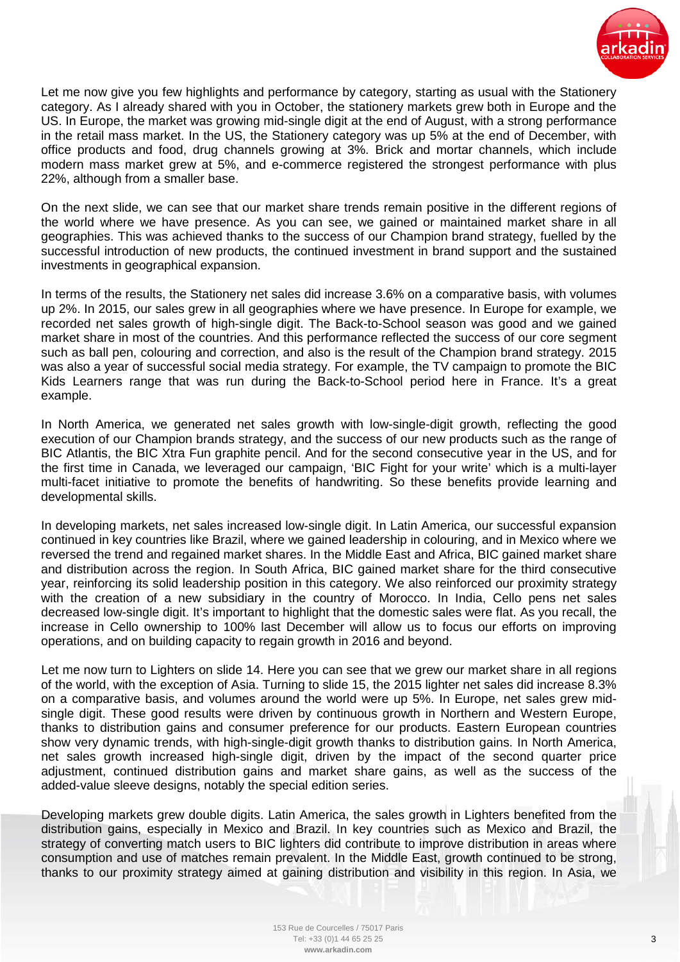

Let me now give you few highlights and performance by category, starting as usual with the Stationery category. As I already shared with you in October, the stationery markets grew both in Europe and the US. In Europe, the market was growing mid-single digit at the end of August, with a strong performance in the retail mass market. In the US, the Stationery category was up 5% at the end of December, with office products and food, drug channels growing at 3%. Brick and mortar channels, which include modern mass market grew at 5%, and e-commerce registered the strongest performance with plus 22%, although from a smaller base.

On the next slide, we can see that our market share trends remain positive in the different regions of the world where we have presence. As you can see, we gained or maintained market share in all geographies. This was achieved thanks to the success of our Champion brand strategy, fuelled by the successful introduction of new products, the continued investment in brand support and the sustained investments in geographical expansion.

In terms of the results, the Stationery net sales did increase 3.6% on a comparative basis, with volumes up 2%. In 2015, our sales grew in all geographies where we have presence. In Europe for example, we recorded net sales growth of high-single digit. The Back-to-School season was good and we gained market share in most of the countries. And this performance reflected the success of our core segment such as ball pen, colouring and correction, and also is the result of the Champion brand strategy. 2015 was also a year of successful social media strategy. For example, the TV campaign to promote the BIC Kids Learners range that was run during the Back-to-School period here in France. It's a great example.

In North America, we generated net sales growth with low-single-digit growth, reflecting the good execution of our Champion brands strategy, and the success of our new products such as the range of BIC Atlantis, the BIC Xtra Fun graphite pencil. And for the second consecutive year in the US, and for the first time in Canada, we leveraged our campaign, 'BIC Fight for your write' which is a multi-layer multi-facet initiative to promote the benefits of handwriting. So these benefits provide learning and developmental skills.

In developing markets, net sales increased low-single digit. In Latin America, our successful expansion continued in key countries like Brazil, where we gained leadership in colouring, and in Mexico where we reversed the trend and regained market shares. In the Middle East and Africa, BIC gained market share and distribution across the region. In South Africa, BIC gained market share for the third consecutive year, reinforcing its solid leadership position in this category. We also reinforced our proximity strategy with the creation of a new subsidiary in the country of Morocco. In India, Cello pens net sales decreased low-single digit. It's important to highlight that the domestic sales were flat. As you recall, the increase in Cello ownership to 100% last December will allow us to focus our efforts on improving operations, and on building capacity to regain growth in 2016 and beyond.

Let me now turn to Lighters on slide 14. Here you can see that we grew our market share in all regions of the world, with the exception of Asia. Turning to slide 15, the 2015 lighter net sales did increase 8.3% on a comparative basis, and volumes around the world were up 5%. In Europe, net sales grew midsingle digit. These good results were driven by continuous growth in Northern and Western Europe, thanks to distribution gains and consumer preference for our products. Eastern European countries show very dynamic trends, with high-single-digit growth thanks to distribution gains. In North America, net sales growth increased high-single digit, driven by the impact of the second quarter price adjustment, continued distribution gains and market share gains, as well as the success of the added-value sleeve designs, notably the special edition series.

Developing markets grew double digits. Latin America, the sales growth in Lighters benefited from the distribution gains, especially in Mexico and Brazil. In key countries such as Mexico and Brazil, the strategy of converting match users to BIC lighters did contribute to improve distribution in areas where consumption and use of matches remain prevalent. In the Middle East, growth continued to be strong, thanks to our proximity strategy aimed at gaining distribution and visibility in this region. In Asia, we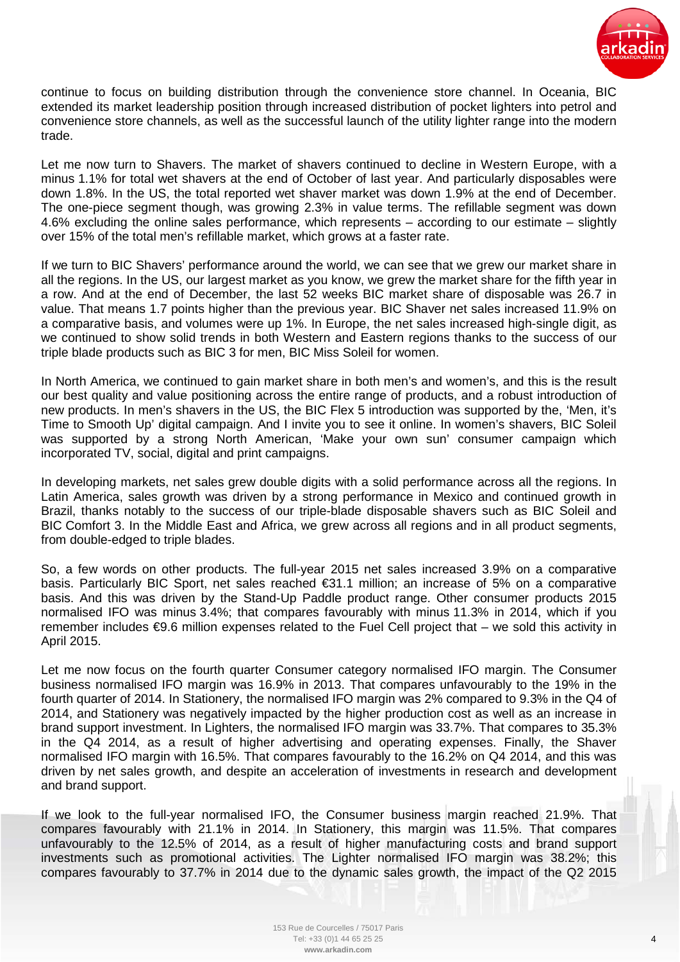

continue to focus on building distribution through the convenience store channel. In Oceania, BIC extended its market leadership position through increased distribution of pocket lighters into petrol and convenience store channels, as well as the successful launch of the utility lighter range into the modern trade.

Let me now turn to Shavers. The market of shavers continued to decline in Western Europe, with a minus 1.1% for total wet shavers at the end of October of last year. And particularly disposables were down 1.8%. In the US, the total reported wet shaver market was down 1.9% at the end of December. The one-piece segment though, was growing 2.3% in value terms. The refillable segment was down 4.6% excluding the online sales performance, which represents – according to our estimate – slightly over 15% of the total men's refillable market, which grows at a faster rate.

If we turn to BIC Shavers' performance around the world, we can see that we grew our market share in all the regions. In the US, our largest market as you know, we grew the market share for the fifth year in a row. And at the end of December, the last 52 weeks BIC market share of disposable was 26.7 in value. That means 1.7 points higher than the previous year. BIC Shaver net sales increased 11.9% on a comparative basis, and volumes were up 1%. In Europe, the net sales increased high-single digit, as we continued to show solid trends in both Western and Eastern regions thanks to the success of our triple blade products such as BIC 3 for men, BIC Miss Soleil for women.

In North America, we continued to gain market share in both men's and women's, and this is the result our best quality and value positioning across the entire range of products, and a robust introduction of new products. In men's shavers in the US, the BIC Flex 5 introduction was supported by the, 'Men, it's Time to Smooth Up' digital campaign. And I invite you to see it online. In women's shavers, BIC Soleil was supported by a strong North American, 'Make your own sun' consumer campaign which incorporated TV, social, digital and print campaigns.

In developing markets, net sales grew double digits with a solid performance across all the regions. In Latin America, sales growth was driven by a strong performance in Mexico and continued growth in Brazil, thanks notably to the success of our triple-blade disposable shavers such as BIC Soleil and BIC Comfort 3. In the Middle East and Africa, we grew across all regions and in all product segments, from double-edged to triple blades.

So, a few words on other products. The full-year 2015 net sales increased 3.9% on a comparative basis. Particularly BIC Sport, net sales reached €31.1 million; an increase of 5% on a comparative basis. And this was driven by the Stand-Up Paddle product range. Other consumer products 2015 normalised IFO was minus 3.4%; that compares favourably with minus 11.3% in 2014, which if you remember includes €9.6 million expenses related to the Fuel Cell project that – we sold this activity in April 2015.

Let me now focus on the fourth quarter Consumer category normalised IFO margin. The Consumer business normalised IFO margin was 16.9% in 2013. That compares unfavourably to the 19% in the fourth quarter of 2014. In Stationery, the normalised IFO margin was 2% compared to 9.3% in the Q4 of 2014, and Stationery was negatively impacted by the higher production cost as well as an increase in brand support investment. In Lighters, the normalised IFO margin was 33.7%. That compares to 35.3% in the Q4 2014, as a result of higher advertising and operating expenses. Finally, the Shaver normalised IFO margin with 16.5%. That compares favourably to the 16.2% on Q4 2014, and this was driven by net sales growth, and despite an acceleration of investments in research and development and brand support.

If we look to the full-year normalised IFO, the Consumer business margin reached 21.9%. That compares favourably with 21.1% in 2014. In Stationery, this margin was 11.5%. That compares unfavourably to the 12.5% of 2014, as a result of higher manufacturing costs and brand support investments such as promotional activities. The Lighter normalised IFO margin was 38.2%; this compares favourably to 37.7% in 2014 due to the dynamic sales growth, the impact of the Q2 2015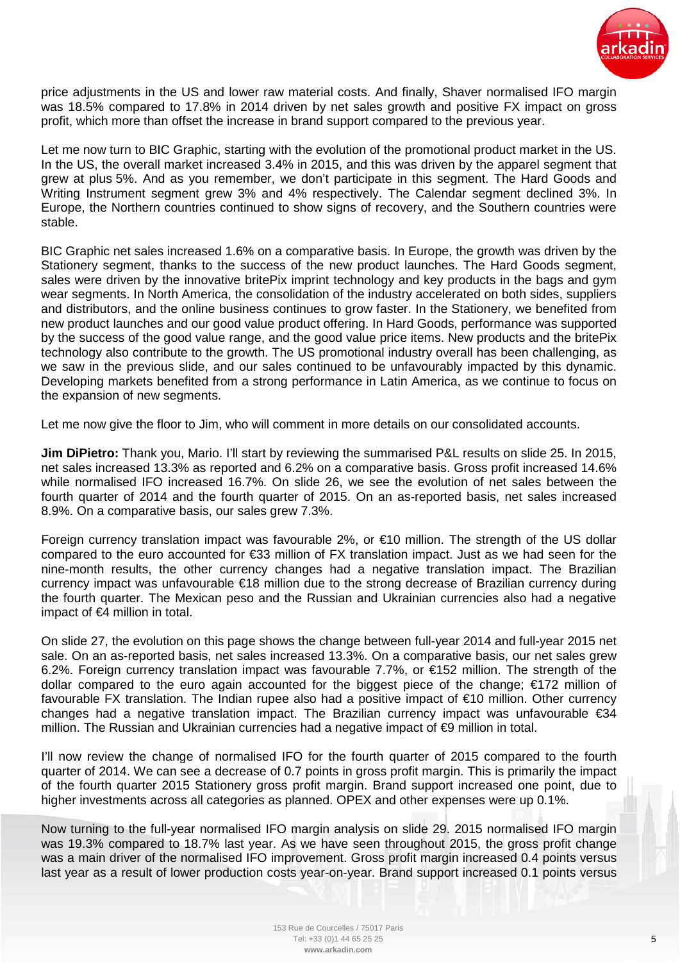

price adjustments in the US and lower raw material costs. And finally, Shaver normalised IFO margin was 18.5% compared to 17.8% in 2014 driven by net sales growth and positive FX impact on gross profit, which more than offset the increase in brand support compared to the previous year.

Let me now turn to BIC Graphic, starting with the evolution of the promotional product market in the US. In the US, the overall market increased 3.4% in 2015, and this was driven by the apparel segment that grew at plus 5%. And as you remember, we don't participate in this segment. The Hard Goods and Writing Instrument segment grew 3% and 4% respectively. The Calendar segment declined 3%. In Europe, the Northern countries continued to show signs of recovery, and the Southern countries were stable.

BIC Graphic net sales increased 1.6% on a comparative basis. In Europe, the growth was driven by the Stationery segment, thanks to the success of the new product launches. The Hard Goods segment, sales were driven by the innovative britePix imprint technology and key products in the bags and gym wear segments. In North America, the consolidation of the industry accelerated on both sides, suppliers and distributors, and the online business continues to grow faster. In the Stationery, we benefited from new product launches and our good value product offering. In Hard Goods, performance was supported by the success of the good value range, and the good value price items. New products and the britePix technology also contribute to the growth. The US promotional industry overall has been challenging, as we saw in the previous slide, and our sales continued to be unfavourably impacted by this dynamic. Developing markets benefited from a strong performance in Latin America, as we continue to focus on the expansion of new segments.

Let me now give the floor to Jim, who will comment in more details on our consolidated accounts.

**Jim DiPietro:** Thank you, Mario. I'll start by reviewing the summarised P&L results on slide 25. In 2015, net sales increased 13.3% as reported and 6.2% on a comparative basis. Gross profit increased 14.6% while normalised IFO increased 16.7%. On slide 26, we see the evolution of net sales between the fourth quarter of 2014 and the fourth quarter of 2015. On an as-reported basis, net sales increased 8.9%. On a comparative basis, our sales grew 7.3%.

Foreign currency translation impact was favourable 2%, or €10 million. The strength of the US dollar compared to the euro accounted for €33 million of FX translation impact. Just as we had seen for the nine-month results, the other currency changes had a negative translation impact. The Brazilian currency impact was unfavourable €18 million due to the strong decrease of Brazilian currency during the fourth quarter. The Mexican peso and the Russian and Ukrainian currencies also had a negative impact of €4 million in total.

On slide 27, the evolution on this page shows the change between full-year 2014 and full-year 2015 net sale. On an as-reported basis, net sales increased 13.3%. On a comparative basis, our net sales grew 6.2%. Foreign currency translation impact was favourable 7.7%, or €152 million. The strength of the dollar compared to the euro again accounted for the biggest piece of the change; €172 million of favourable FX translation. The Indian rupee also had a positive impact of €10 million. Other currency changes had a negative translation impact. The Brazilian currency impact was unfavourable €34 million. The Russian and Ukrainian currencies had a negative impact of €9 million in total.

I'll now review the change of normalised IFO for the fourth quarter of 2015 compared to the fourth quarter of 2014. We can see a decrease of 0.7 points in gross profit margin. This is primarily the impact of the fourth quarter 2015 Stationery gross profit margin. Brand support increased one point, due to higher investments across all categories as planned. OPEX and other expenses were up 0.1%.

Now turning to the full-year normalised IFO margin analysis on slide 29. 2015 normalised IFO margin was 19.3% compared to 18.7% last year. As we have seen throughout 2015, the gross profit change was a main driver of the normalised IFO improvement. Gross profit margin increased 0.4 points versus last year as a result of lower production costs year-on-year. Brand support increased 0.1 points versus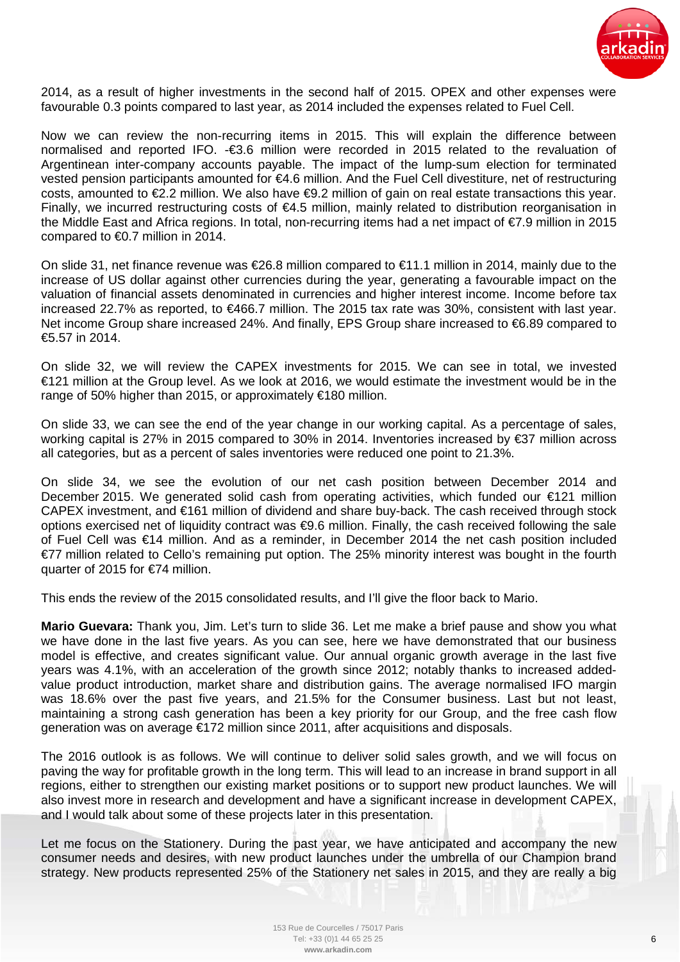

2014, as a result of higher investments in the second half of 2015. OPEX and other expenses were favourable 0.3 points compared to last year, as 2014 included the expenses related to Fuel Cell.

Now we can review the non-recurring items in 2015. This will explain the difference between normalised and reported IFO. -€3.6 million were recorded in 2015 related to the revaluation of Argentinean inter-company accounts payable. The impact of the lump-sum election for terminated vested pension participants amounted for €4.6 million. And the Fuel Cell divestiture, net of restructuring costs, amounted to €2.2 million. We also have €9.2 million of gain on real estate transactions this year. Finally, we incurred restructuring costs of  $\epsilon$ 4.5 million, mainly related to distribution reorganisation in the Middle East and Africa regions. In total, non-recurring items had a net impact of €7.9 million in 2015 compared to €0.7 million in 2014.

On slide 31, net finance revenue was €26.8 million compared to €11.1 million in 2014, mainly due to the increase of US dollar against other currencies during the year, generating a favourable impact on the valuation of financial assets denominated in currencies and higher interest income. Income before tax increased 22.7% as reported, to €466.7 million. The 2015 tax rate was 30%, consistent with last year. Net income Group share increased 24%. And finally, EPS Group share increased to €6.89 compared to €5.57 in 2014.

On slide 32, we will review the CAPEX investments for 2015. We can see in total, we invested €121 million at the Group level. As we look at 2016, we would estimate the investment would be in the range of 50% higher than 2015, or approximately €180 million.

On slide 33, we can see the end of the year change in our working capital. As a percentage of sales, working capital is 27% in 2015 compared to 30% in 2014. Inventories increased by €37 million across all categories, but as a percent of sales inventories were reduced one point to 21.3%.

On slide 34, we see the evolution of our net cash position between December 2014 and December 2015. We generated solid cash from operating activities, which funded our €121 million CAPEX investment, and €161 million of dividend and share buy-back. The cash received through stock options exercised net of liquidity contract was €9.6 million. Finally, the cash received following the sale of Fuel Cell was €14 million. And as a reminder, in December 2014 the net cash position included €77 million related to Cello's remaining put option. The 25% minority interest was bought in the fourth quarter of 2015 for €74 million.

This ends the review of the 2015 consolidated results, and I'll give the floor back to Mario.

**Mario Guevara:** Thank you, Jim. Let's turn to slide 36. Let me make a brief pause and show you what we have done in the last five years. As you can see, here we have demonstrated that our business model is effective, and creates significant value. Our annual organic growth average in the last five years was 4.1%, with an acceleration of the growth since 2012; notably thanks to increased addedvalue product introduction, market share and distribution gains. The average normalised IFO margin was 18.6% over the past five years, and 21.5% for the Consumer business. Last but not least, maintaining a strong cash generation has been a key priority for our Group, and the free cash flow generation was on average €172 million since 2011, after acquisitions and disposals.

The 2016 outlook is as follows. We will continue to deliver solid sales growth, and we will focus on paving the way for profitable growth in the long term. This will lead to an increase in brand support in all regions, either to strengthen our existing market positions or to support new product launches. We will also invest more in research and development and have a significant increase in development CAPEX, and I would talk about some of these projects later in this presentation.

Let me focus on the Stationery. During the past year, we have anticipated and accompany the new consumer needs and desires, with new product launches under the umbrella of our Champion brand strategy. New products represented 25% of the Stationery net sales in 2015, and they are really a big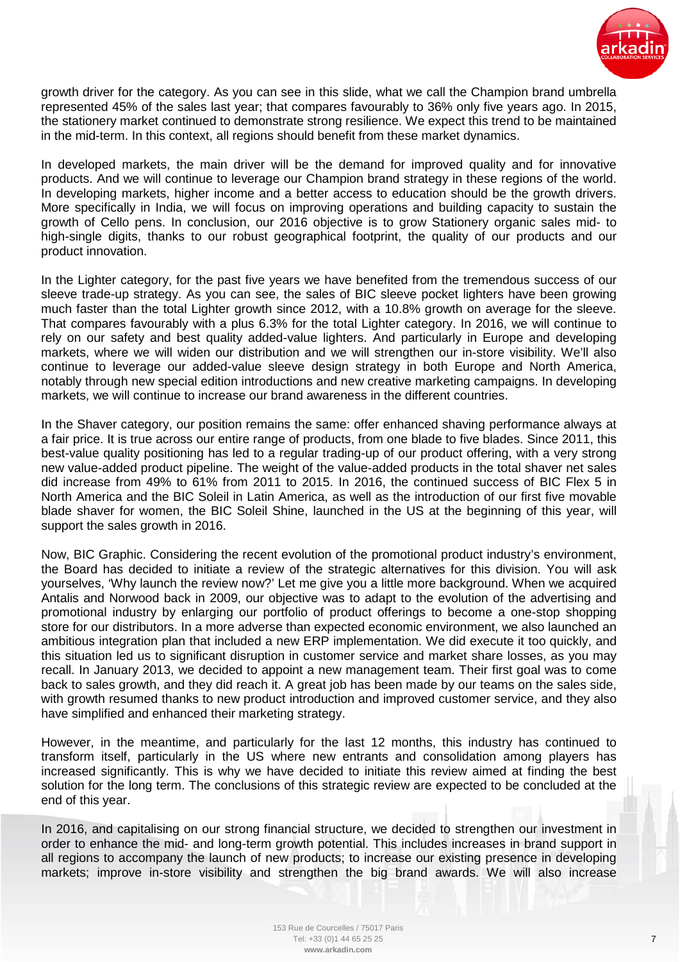

growth driver for the category. As you can see in this slide, what we call the Champion brand umbrella represented 45% of the sales last year; that compares favourably to 36% only five years ago. In 2015, the stationery market continued to demonstrate strong resilience. We expect this trend to be maintained in the mid-term. In this context, all regions should benefit from these market dynamics.

In developed markets, the main driver will be the demand for improved quality and for innovative products. And we will continue to leverage our Champion brand strategy in these regions of the world. In developing markets, higher income and a better access to education should be the growth drivers. More specifically in India, we will focus on improving operations and building capacity to sustain the growth of Cello pens. In conclusion, our 2016 objective is to grow Stationery organic sales mid- to high-single digits, thanks to our robust geographical footprint, the quality of our products and our product innovation.

In the Lighter category, for the past five years we have benefited from the tremendous success of our sleeve trade-up strategy. As you can see, the sales of BIC sleeve pocket lighters have been growing much faster than the total Lighter growth since 2012, with a 10.8% growth on average for the sleeve. That compares favourably with a plus 6.3% for the total Lighter category. In 2016, we will continue to rely on our safety and best quality added-value lighters. And particularly in Europe and developing markets, where we will widen our distribution and we will strengthen our in-store visibility. We'll also continue to leverage our added-value sleeve design strategy in both Europe and North America, notably through new special edition introductions and new creative marketing campaigns. In developing markets, we will continue to increase our brand awareness in the different countries.

In the Shaver category, our position remains the same: offer enhanced shaving performance always at a fair price. It is true across our entire range of products, from one blade to five blades. Since 2011, this best-value quality positioning has led to a regular trading-up of our product offering, with a very strong new value-added product pipeline. The weight of the value-added products in the total shaver net sales did increase from 49% to 61% from 2011 to 2015. In 2016, the continued success of BIC Flex 5 in North America and the BIC Soleil in Latin America, as well as the introduction of our first five movable blade shaver for women, the BIC Soleil Shine, launched in the US at the beginning of this year, will support the sales growth in 2016.

Now, BIC Graphic. Considering the recent evolution of the promotional product industry's environment, the Board has decided to initiate a review of the strategic alternatives for this division. You will ask yourselves, 'Why launch the review now?' Let me give you a little more background. When we acquired Antalis and Norwood back in 2009, our objective was to adapt to the evolution of the advertising and promotional industry by enlarging our portfolio of product offerings to become a one-stop shopping store for our distributors. In a more adverse than expected economic environment, we also launched an ambitious integration plan that included a new ERP implementation. We did execute it too quickly, and this situation led us to significant disruption in customer service and market share losses, as you may recall. In January 2013, we decided to appoint a new management team. Their first goal was to come back to sales growth, and they did reach it. A great job has been made by our teams on the sales side, with growth resumed thanks to new product introduction and improved customer service, and they also have simplified and enhanced their marketing strategy.

However, in the meantime, and particularly for the last 12 months, this industry has continued to transform itself, particularly in the US where new entrants and consolidation among players has increased significantly. This is why we have decided to initiate this review aimed at finding the best solution for the long term. The conclusions of this strategic review are expected to be concluded at the end of this year.

In 2016, and capitalising on our strong financial structure, we decided to strengthen our investment in order to enhance the mid- and long-term growth potential. This includes increases in brand support in all regions to accompany the launch of new products; to increase our existing presence in developing markets; improve in-store visibility and strengthen the big brand awards. We will also increase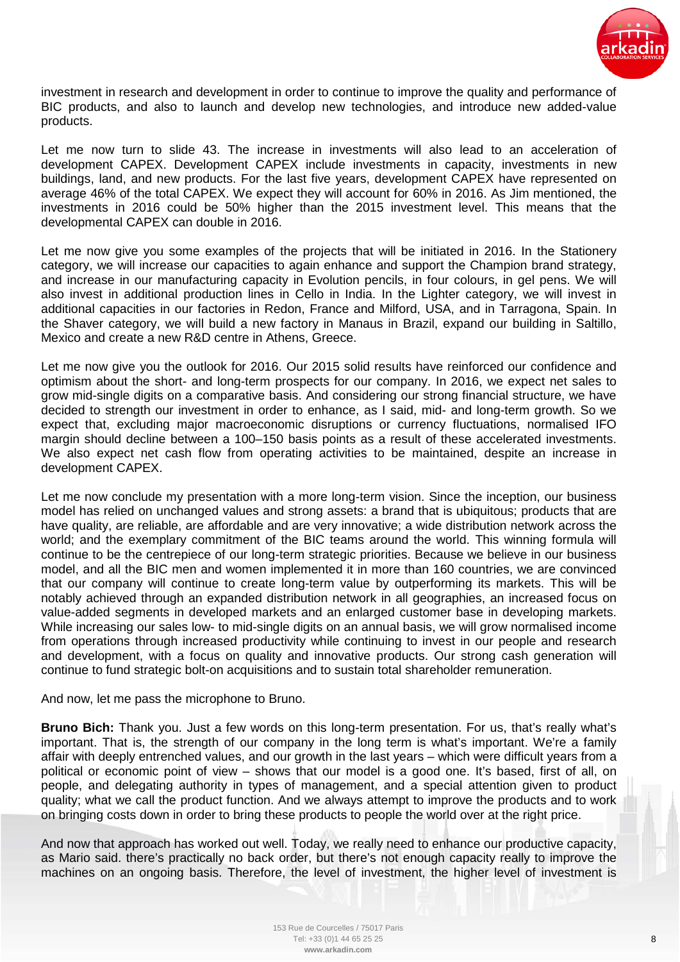

investment in research and development in order to continue to improve the quality and performance of BIC products, and also to launch and develop new technologies, and introduce new added-value products.

Let me now turn to slide 43. The increase in investments will also lead to an acceleration of development CAPEX. Development CAPEX include investments in capacity, investments in new buildings, land, and new products. For the last five years, development CAPEX have represented on average 46% of the total CAPEX. We expect they will account for 60% in 2016. As Jim mentioned, the investments in 2016 could be 50% higher than the 2015 investment level. This means that the developmental CAPEX can double in 2016.

Let me now give you some examples of the projects that will be initiated in 2016. In the Stationery category, we will increase our capacities to again enhance and support the Champion brand strategy, and increase in our manufacturing capacity in Evolution pencils, in four colours, in gel pens. We will also invest in additional production lines in Cello in India. In the Lighter category, we will invest in additional capacities in our factories in Redon, France and Milford, USA, and in Tarragona, Spain. In the Shaver category, we will build a new factory in Manaus in Brazil, expand our building in Saltillo, Mexico and create a new R&D centre in Athens, Greece.

Let me now give you the outlook for 2016. Our 2015 solid results have reinforced our confidence and optimism about the short- and long-term prospects for our company. In 2016, we expect net sales to grow mid-single digits on a comparative basis. And considering our strong financial structure, we have decided to strength our investment in order to enhance, as I said, mid- and long-term growth. So we expect that, excluding major macroeconomic disruptions or currency fluctuations, normalised IFO margin should decline between a 100–150 basis points as a result of these accelerated investments. We also expect net cash flow from operating activities to be maintained, despite an increase in development CAPEX.

Let me now conclude my presentation with a more long-term vision. Since the inception, our business model has relied on unchanged values and strong assets: a brand that is ubiquitous; products that are have quality, are reliable, are affordable and are very innovative; a wide distribution network across the world; and the exemplary commitment of the BIC teams around the world. This winning formula will continue to be the centrepiece of our long-term strategic priorities. Because we believe in our business model, and all the BIC men and women implemented it in more than 160 countries, we are convinced that our company will continue to create long-term value by outperforming its markets. This will be notably achieved through an expanded distribution network in all geographies, an increased focus on value-added segments in developed markets and an enlarged customer base in developing markets. While increasing our sales low- to mid-single digits on an annual basis, we will grow normalised income from operations through increased productivity while continuing to invest in our people and research and development, with a focus on quality and innovative products. Our strong cash generation will continue to fund strategic bolt-on acquisitions and to sustain total shareholder remuneration.

And now, let me pass the microphone to Bruno.

**Bruno Bich:** Thank you. Just a few words on this long-term presentation. For us, that's really what's important. That is, the strength of our company in the long term is what's important. We're a family affair with deeply entrenched values, and our growth in the last years – which were difficult years from a political or economic point of view – shows that our model is a good one. It's based, first of all, on people, and delegating authority in types of management, and a special attention given to product quality; what we call the product function. And we always attempt to improve the products and to work on bringing costs down in order to bring these products to people the world over at the right price.

And now that approach has worked out well. Today, we really need to enhance our productive capacity, as Mario said. there's practically no back order, but there's not enough capacity really to improve the machines on an ongoing basis. Therefore, the level of investment, the higher level of investment is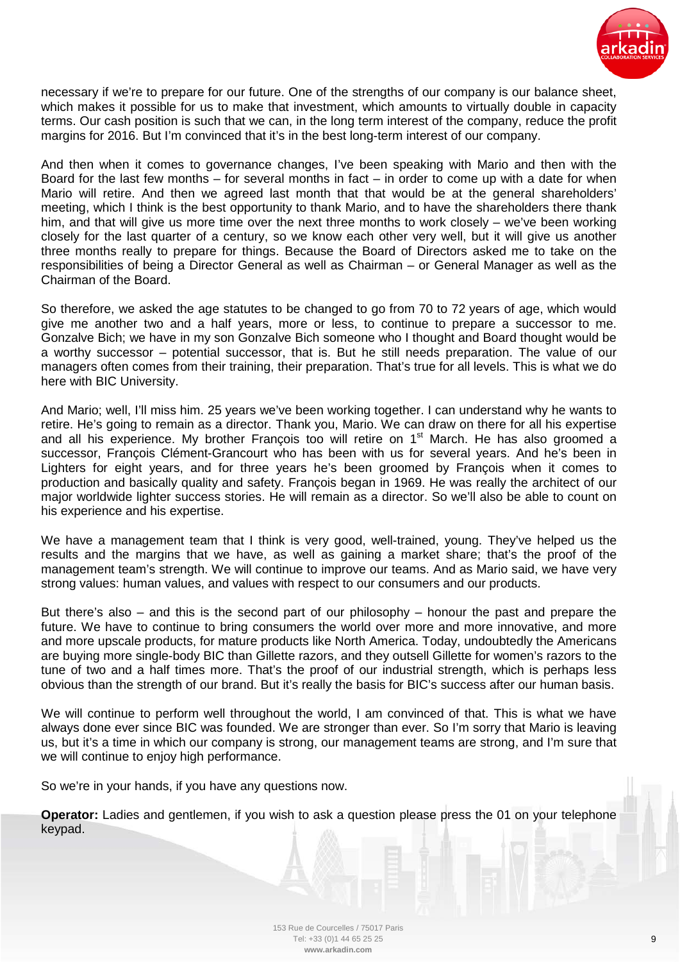

necessary if we're to prepare for our future. One of the strengths of our company is our balance sheet, which makes it possible for us to make that investment, which amounts to virtually double in capacity terms. Our cash position is such that we can, in the long term interest of the company, reduce the profit margins for 2016. But I'm convinced that it's in the best long-term interest of our company.

And then when it comes to governance changes, I've been speaking with Mario and then with the Board for the last few months  $-$  for several months in fact  $-$  in order to come up with a date for when Mario will retire. And then we agreed last month that that would be at the general shareholders' meeting, which I think is the best opportunity to thank Mario, and to have the shareholders there thank him, and that will give us more time over the next three months to work closely – we've been working closely for the last quarter of a century, so we know each other very well, but it will give us another three months really to prepare for things. Because the Board of Directors asked me to take on the responsibilities of being a Director General as well as Chairman – or General Manager as well as the Chairman of the Board.

So therefore, we asked the age statutes to be changed to go from 70 to 72 years of age, which would give me another two and a half years, more or less, to continue to prepare a successor to me. Gonzalve Bich; we have in my son Gonzalve Bich someone who I thought and Board thought would be a worthy successor – potential successor, that is. But he still needs preparation. The value of our managers often comes from their training, their preparation. That's true for all levels. This is what we do here with BIC University.

And Mario; well, I'll miss him. 25 years we've been working together. I can understand why he wants to retire. He's going to remain as a director. Thank you, Mario. We can draw on there for all his expertise and all his experience. My brother François too will retire on 1<sup>st</sup> March. He has also groomed a successor, François Clément-Grancourt who has been with us for several years. And he's been in Lighters for eight years, and for three years he's been groomed by François when it comes to production and basically quality and safety. François began in 1969. He was really the architect of our major worldwide lighter success stories. He will remain as a director. So we'll also be able to count on his experience and his expertise.

We have a management team that I think is very good, well-trained, young. They've helped us the results and the margins that we have, as well as gaining a market share; that's the proof of the management team's strength. We will continue to improve our teams. And as Mario said, we have very strong values: human values, and values with respect to our consumers and our products.

But there's also – and this is the second part of our philosophy – honour the past and prepare the future. We have to continue to bring consumers the world over more and more innovative, and more and more upscale products, for mature products like North America. Today, undoubtedly the Americans are buying more single-body BIC than Gillette razors, and they outsell Gillette for women's razors to the tune of two and a half times more. That's the proof of our industrial strength, which is perhaps less obvious than the strength of our brand. But it's really the basis for BIC's success after our human basis.

We will continue to perform well throughout the world, I am convinced of that. This is what we have always done ever since BIC was founded. We are stronger than ever. So I'm sorry that Mario is leaving us, but it's a time in which our company is strong, our management teams are strong, and I'm sure that we will continue to enjoy high performance.

So we're in your hands, if you have any questions now.

**Operator:** Ladies and gentlemen, if you wish to ask a question please press the 01 on your telephone keypad.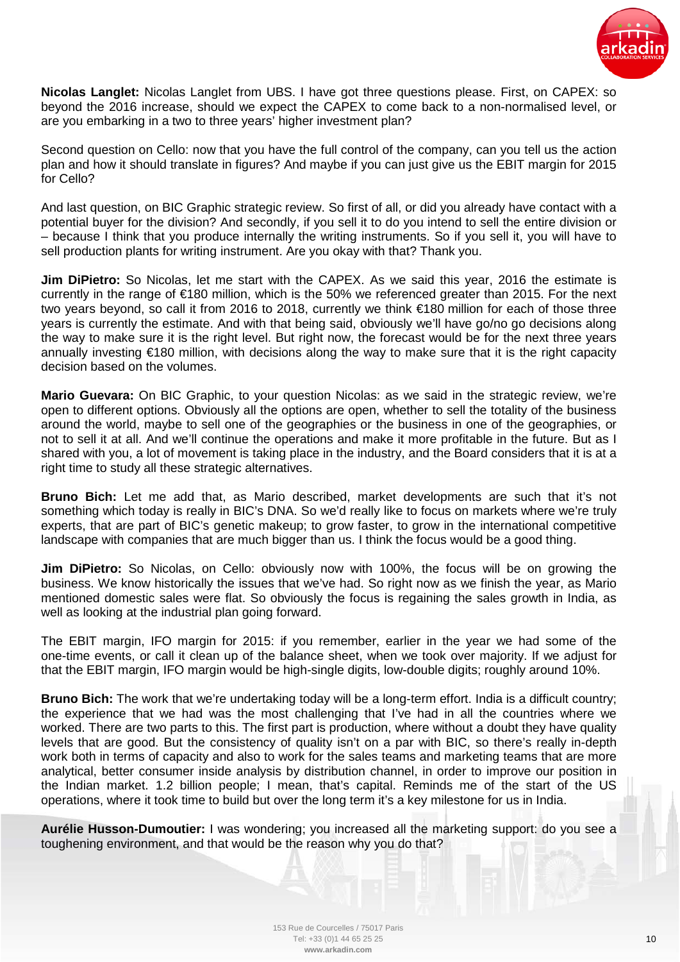

**Nicolas Langlet:** Nicolas Langlet from UBS. I have got three questions please. First, on CAPEX: so beyond the 2016 increase, should we expect the CAPEX to come back to a non-normalised level, or are you embarking in a two to three years' higher investment plan?

Second question on Cello: now that you have the full control of the company, can you tell us the action plan and how it should translate in figures? And maybe if you can just give us the EBIT margin for 2015 for Cello?

And last question, on BIC Graphic strategic review. So first of all, or did you already have contact with a potential buyer for the division? And secondly, if you sell it to do you intend to sell the entire division or – because I think that you produce internally the writing instruments. So if you sell it, you will have to sell production plants for writing instrument. Are you okay with that? Thank you.

**Jim DiPietro:** So Nicolas, let me start with the CAPEX. As we said this year, 2016 the estimate is currently in the range of €180 million, which is the 50% we referenced greater than 2015. For the next two years beyond, so call it from 2016 to 2018, currently we think €180 million for each of those three years is currently the estimate. And with that being said, obviously we'll have go/no go decisions along the way to make sure it is the right level. But right now, the forecast would be for the next three years annually investing €180 million, with decisions along the way to make sure that it is the right capacity decision based on the volumes.

**Mario Guevara:** On BIC Graphic, to your question Nicolas: as we said in the strategic review, we're open to different options. Obviously all the options are open, whether to sell the totality of the business around the world, maybe to sell one of the geographies or the business in one of the geographies, or not to sell it at all. And we'll continue the operations and make it more profitable in the future. But as I shared with you, a lot of movement is taking place in the industry, and the Board considers that it is at a right time to study all these strategic alternatives.

**Bruno Bich:** Let me add that, as Mario described, market developments are such that it's not something which today is really in BIC's DNA. So we'd really like to focus on markets where we're truly experts, that are part of BIC's genetic makeup; to grow faster, to grow in the international competitive landscape with companies that are much bigger than us. I think the focus would be a good thing.

**Jim DiPietro:** So Nicolas, on Cello: obviously now with 100%, the focus will be on growing the business. We know historically the issues that we've had. So right now as we finish the year, as Mario mentioned domestic sales were flat. So obviously the focus is regaining the sales growth in India, as well as looking at the industrial plan going forward.

The EBIT margin, IFO margin for 2015: if you remember, earlier in the year we had some of the one-time events, or call it clean up of the balance sheet, when we took over majority. If we adjust for that the EBIT margin, IFO margin would be high-single digits, low-double digits; roughly around 10%.

**Bruno Bich:** The work that we're undertaking today will be a long-term effort. India is a difficult country; the experience that we had was the most challenging that I've had in all the countries where we worked. There are two parts to this. The first part is production, where without a doubt they have quality levels that are good. But the consistency of quality isn't on a par with BIC, so there's really in-depth work both in terms of capacity and also to work for the sales teams and marketing teams that are more analytical, better consumer inside analysis by distribution channel, in order to improve our position in the Indian market. 1.2 billion people; I mean, that's capital. Reminds me of the start of the US operations, where it took time to build but over the long term it's a key milestone for us in India.

**Aurélie Husson-Dumoutier:** I was wondering; you increased all the marketing support: do you see a toughening environment, and that would be the reason why you do that?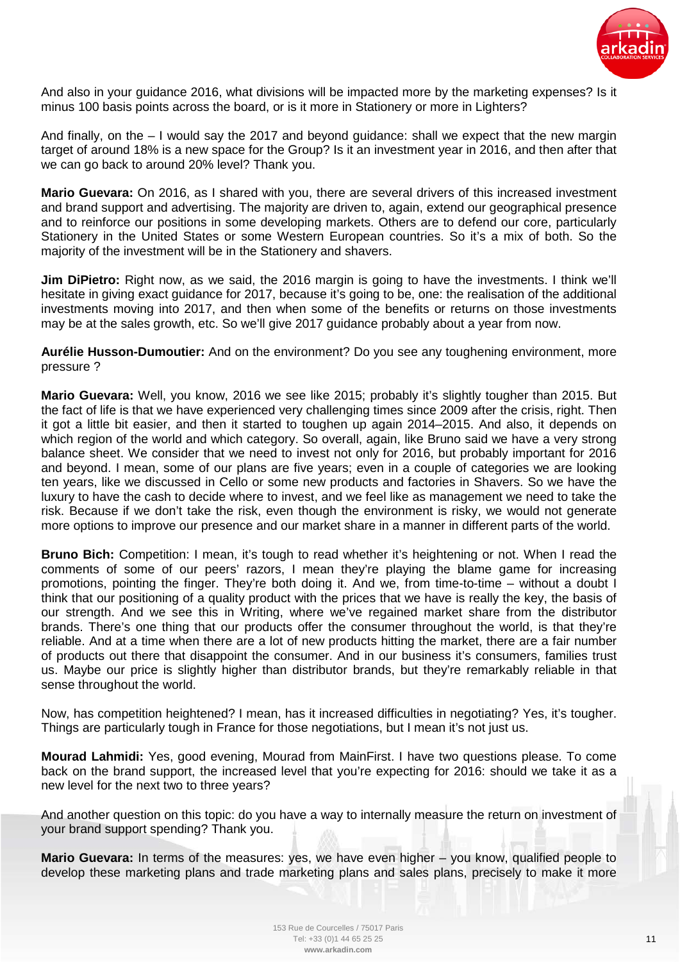

And also in your guidance 2016, what divisions will be impacted more by the marketing expenses? Is it minus 100 basis points across the board, or is it more in Stationery or more in Lighters?

And finally, on the – I would say the 2017 and beyond guidance: shall we expect that the new margin target of around 18% is a new space for the Group? Is it an investment year in 2016, and then after that we can go back to around 20% level? Thank you.

**Mario Guevara:** On 2016, as I shared with you, there are several drivers of this increased investment and brand support and advertising. The majority are driven to, again, extend our geographical presence and to reinforce our positions in some developing markets. Others are to defend our core, particularly Stationery in the United States or some Western European countries. So it's a mix of both. So the majority of the investment will be in the Stationery and shavers.

**Jim DiPietro:** Right now, as we said, the 2016 margin is going to have the investments. I think we'll hesitate in giving exact guidance for 2017, because it's going to be, one: the realisation of the additional investments moving into 2017, and then when some of the benefits or returns on those investments may be at the sales growth, etc. So we'll give 2017 guidance probably about a year from now.

**Aurélie Husson-Dumoutier:** And on the environment? Do you see any toughening environment, more pressure ?

**Mario Guevara:** Well, you know, 2016 we see like 2015; probably it's slightly tougher than 2015. But the fact of life is that we have experienced very challenging times since 2009 after the crisis, right. Then it got a little bit easier, and then it started to toughen up again 2014–2015. And also, it depends on which region of the world and which category. So overall, again, like Bruno said we have a very strong balance sheet. We consider that we need to invest not only for 2016, but probably important for 2016 and beyond. I mean, some of our plans are five years; even in a couple of categories we are looking ten years, like we discussed in Cello or some new products and factories in Shavers. So we have the luxury to have the cash to decide where to invest, and we feel like as management we need to take the risk. Because if we don't take the risk, even though the environment is risky, we would not generate more options to improve our presence and our market share in a manner in different parts of the world.

**Bruno Bich:** Competition: I mean, it's tough to read whether it's heightening or not. When I read the comments of some of our peers' razors, I mean they're playing the blame game for increasing promotions, pointing the finger. They're both doing it. And we, from time-to-time – without a doubt I think that our positioning of a quality product with the prices that we have is really the key, the basis of our strength. And we see this in Writing, where we've regained market share from the distributor brands. There's one thing that our products offer the consumer throughout the world, is that they're reliable. And at a time when there are a lot of new products hitting the market, there are a fair number of products out there that disappoint the consumer. And in our business it's consumers, families trust us. Maybe our price is slightly higher than distributor brands, but they're remarkably reliable in that sense throughout the world.

Now, has competition heightened? I mean, has it increased difficulties in negotiating? Yes, it's tougher. Things are particularly tough in France for those negotiations, but I mean it's not just us.

**Mourad Lahmidi:** Yes, good evening, Mourad from MainFirst. I have two questions please. To come back on the brand support, the increased level that you're expecting for 2016: should we take it as a new level for the next two to three years?

And another question on this topic: do you have a way to internally measure the return on investment of your brand support spending? Thank you.

**Mario Guevara:** In terms of the measures: yes, we have even higher – you know, qualified people to develop these marketing plans and trade marketing plans and sales plans, precisely to make it more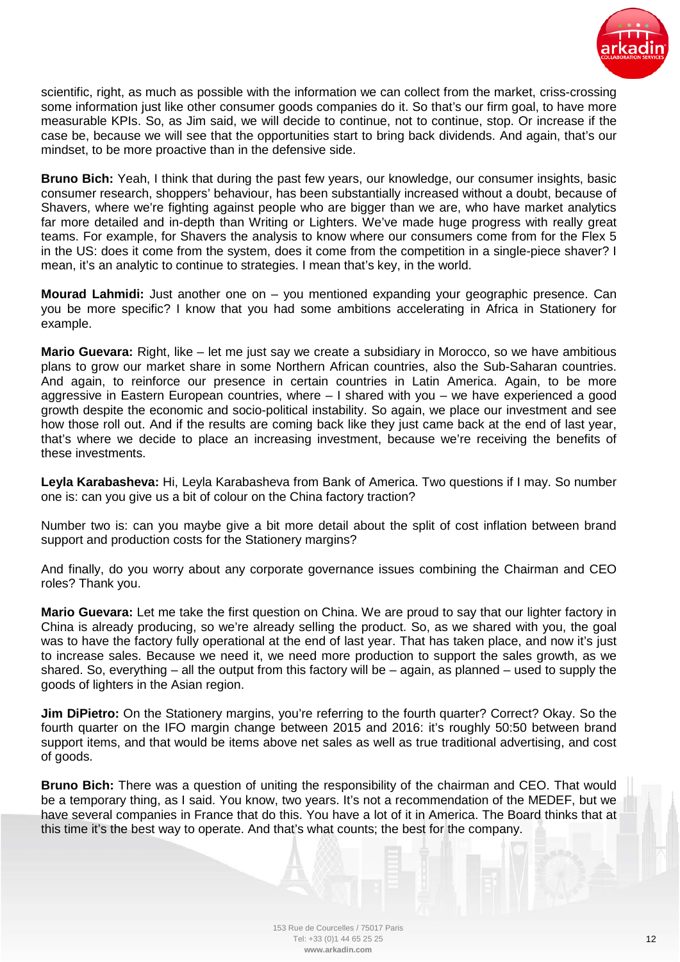

scientific, right, as much as possible with the information we can collect from the market, criss-crossing some information just like other consumer goods companies do it. So that's our firm goal, to have more measurable KPIs. So, as Jim said, we will decide to continue, not to continue, stop. Or increase if the case be, because we will see that the opportunities start to bring back dividends. And again, that's our mindset, to be more proactive than in the defensive side.

**Bruno Bich:** Yeah, I think that during the past few years, our knowledge, our consumer insights, basic consumer research, shoppers' behaviour, has been substantially increased without a doubt, because of Shavers, where we're fighting against people who are bigger than we are, who have market analytics far more detailed and in-depth than Writing or Lighters. We've made huge progress with really great teams. For example, for Shavers the analysis to know where our consumers come from for the Flex 5 in the US: does it come from the system, does it come from the competition in a single-piece shaver? I mean, it's an analytic to continue to strategies. I mean that's key, in the world.

**Mourad Lahmidi:** Just another one on – you mentioned expanding your geographic presence. Can you be more specific? I know that you had some ambitions accelerating in Africa in Stationery for example.

**Mario Guevara:** Right, like – let me just say we create a subsidiary in Morocco, so we have ambitious plans to grow our market share in some Northern African countries, also the Sub-Saharan countries. And again, to reinforce our presence in certain countries in Latin America. Again, to be more aggressive in Eastern European countries, where – I shared with you – we have experienced a good growth despite the economic and socio-political instability. So again, we place our investment and see how those roll out. And if the results are coming back like they just came back at the end of last year, that's where we decide to place an increasing investment, because we're receiving the benefits of these investments.

**Leyla Karabasheva:** Hi, Leyla Karabasheva from Bank of America. Two questions if I may. So number one is: can you give us a bit of colour on the China factory traction?

Number two is: can you maybe give a bit more detail about the split of cost inflation between brand support and production costs for the Stationery margins?

And finally, do you worry about any corporate governance issues combining the Chairman and CEO roles? Thank you.

**Mario Guevara:** Let me take the first question on China. We are proud to say that our lighter factory in China is already producing, so we're already selling the product. So, as we shared with you, the goal was to have the factory fully operational at the end of last year. That has taken place, and now it's just to increase sales. Because we need it, we need more production to support the sales growth, as we shared. So, everything  $-$  all the output from this factory will be  $-$  again, as planned  $-$  used to supply the goods of lighters in the Asian region.

**Jim DiPietro:** On the Stationery margins, you're referring to the fourth quarter? Correct? Okay. So the fourth quarter on the IFO margin change between 2015 and 2016: it's roughly 50:50 between brand support items, and that would be items above net sales as well as true traditional advertising, and cost of goods.

**Bruno Bich:** There was a question of uniting the responsibility of the chairman and CEO. That would be a temporary thing, as I said. You know, two years. It's not a recommendation of the MEDEF, but we have several companies in France that do this. You have a lot of it in America. The Board thinks that at this time it's the best way to operate. And that's what counts; the best for the company.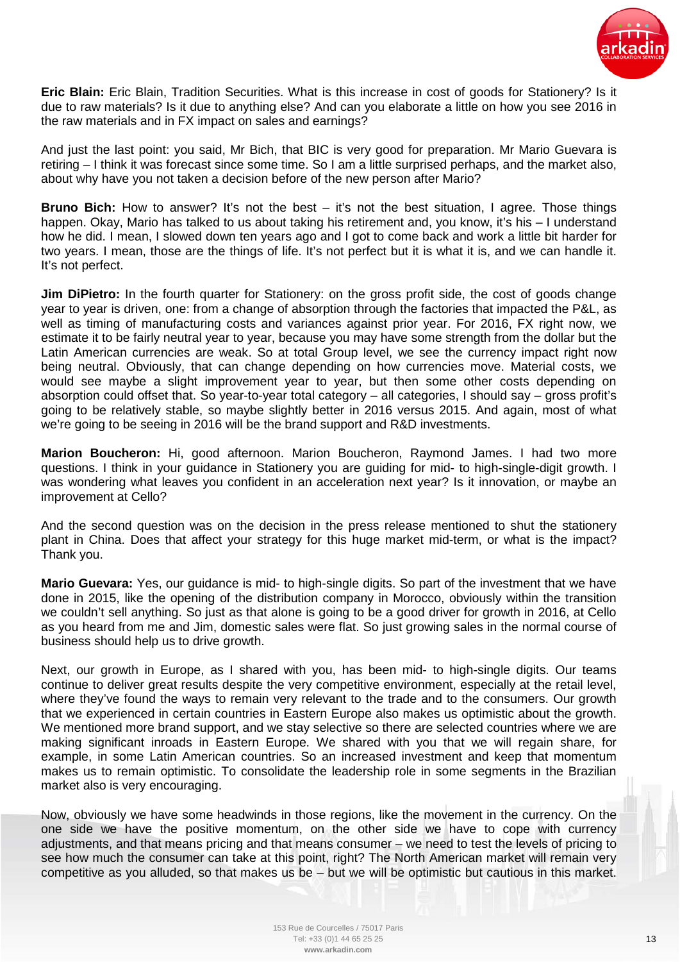

**Eric Blain:** Eric Blain, Tradition Securities. What is this increase in cost of goods for Stationery? Is it due to raw materials? Is it due to anything else? And can you elaborate a little on how you see 2016 in the raw materials and in FX impact on sales and earnings?

And just the last point: you said, Mr Bich, that BIC is very good for preparation. Mr Mario Guevara is retiring – I think it was forecast since some time. So I am a little surprised perhaps, and the market also, about why have you not taken a decision before of the new person after Mario?

**Bruno Bich:** How to answer? It's not the best – it's not the best situation, I agree. Those things happen. Okay, Mario has talked to us about taking his retirement and, you know, it's his – I understand how he did. I mean, I slowed down ten years ago and I got to come back and work a little bit harder for two years. I mean, those are the things of life. It's not perfect but it is what it is, and we can handle it. It's not perfect.

**Jim DiPietro:** In the fourth quarter for Stationery: on the gross profit side, the cost of goods change year to year is driven, one: from a change of absorption through the factories that impacted the P&L, as well as timing of manufacturing costs and variances against prior year. For 2016, FX right now, we estimate it to be fairly neutral year to year, because you may have some strength from the dollar but the Latin American currencies are weak. So at total Group level, we see the currency impact right now being neutral. Obviously, that can change depending on how currencies move. Material costs, we would see maybe a slight improvement year to year, but then some other costs depending on absorption could offset that. So year-to-year total category – all categories, I should say – gross profit's going to be relatively stable, so maybe slightly better in 2016 versus 2015. And again, most of what we're going to be seeing in 2016 will be the brand support and R&D investments.

**Marion Boucheron:** Hi, good afternoon. Marion Boucheron, Raymond James. I had two more questions. I think in your guidance in Stationery you are guiding for mid- to high-single-digit growth. I was wondering what leaves you confident in an acceleration next year? Is it innovation, or maybe an improvement at Cello?

And the second question was on the decision in the press release mentioned to shut the stationery plant in China. Does that affect your strategy for this huge market mid-term, or what is the impact? Thank you.

**Mario Guevara:** Yes, our guidance is mid- to high-single digits. So part of the investment that we have done in 2015, like the opening of the distribution company in Morocco, obviously within the transition we couldn't sell anything. So just as that alone is going to be a good driver for growth in 2016, at Cello as you heard from me and Jim, domestic sales were flat. So just growing sales in the normal course of business should help us to drive growth.

Next, our growth in Europe, as I shared with you, has been mid- to high-single digits. Our teams continue to deliver great results despite the very competitive environment, especially at the retail level, where they've found the ways to remain very relevant to the trade and to the consumers. Our growth that we experienced in certain countries in Eastern Europe also makes us optimistic about the growth. We mentioned more brand support, and we stay selective so there are selected countries where we are making significant inroads in Eastern Europe. We shared with you that we will regain share, for example, in some Latin American countries. So an increased investment and keep that momentum makes us to remain optimistic. To consolidate the leadership role in some segments in the Brazilian market also is very encouraging.

Now, obviously we have some headwinds in those regions, like the movement in the currency. On the one side we have the positive momentum, on the other side we have to cope with currency adjustments, and that means pricing and that means consumer – we need to test the levels of pricing to see how much the consumer can take at this point, right? The North American market will remain very competitive as you alluded, so that makes us be – but we will be optimistic but cautious in this market.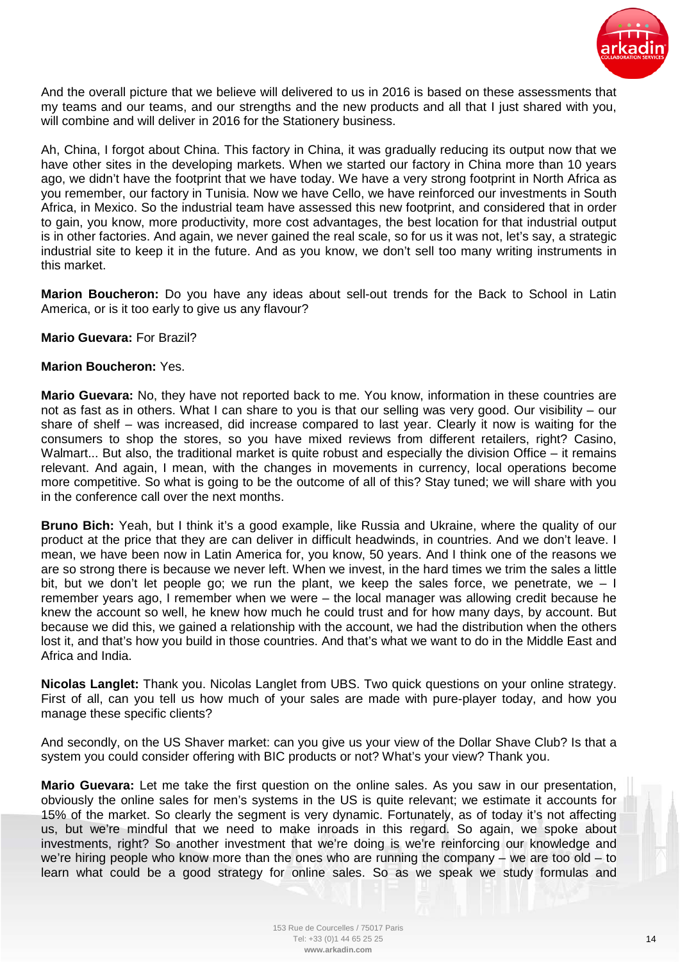

And the overall picture that we believe will delivered to us in 2016 is based on these assessments that my teams and our teams, and our strengths and the new products and all that I just shared with you, will combine and will deliver in 2016 for the Stationery business.

Ah, China, I forgot about China. This factory in China, it was gradually reducing its output now that we have other sites in the developing markets. When we started our factory in China more than 10 years ago, we didn't have the footprint that we have today. We have a very strong footprint in North Africa as you remember, our factory in Tunisia. Now we have Cello, we have reinforced our investments in South Africa, in Mexico. So the industrial team have assessed this new footprint, and considered that in order to gain, you know, more productivity, more cost advantages, the best location for that industrial output is in other factories. And again, we never gained the real scale, so for us it was not, let's say, a strategic industrial site to keep it in the future. And as you know, we don't sell too many writing instruments in this market.

**Marion Boucheron:** Do you have any ideas about sell-out trends for the Back to School in Latin America, or is it too early to give us any flavour?

## **Mario Guevara:** For Brazil?

## **Marion Boucheron:** Yes.

**Mario Guevara:** No, they have not reported back to me. You know, information in these countries are not as fast as in others. What I can share to you is that our selling was very good. Our visibility – our share of shelf – was increased, did increase compared to last year. Clearly it now is waiting for the consumers to shop the stores, so you have mixed reviews from different retailers, right? Casino, Walmart... But also, the traditional market is quite robust and especially the division Office – it remains relevant. And again, I mean, with the changes in movements in currency, local operations become more competitive. So what is going to be the outcome of all of this? Stay tuned; we will share with you in the conference call over the next months.

**Bruno Bich:** Yeah, but I think it's a good example, like Russia and Ukraine, where the quality of our product at the price that they are can deliver in difficult headwinds, in countries. And we don't leave. I mean, we have been now in Latin America for, you know, 50 years. And I think one of the reasons we are so strong there is because we never left. When we invest, in the hard times we trim the sales a little bit, but we don't let people go; we run the plant, we keep the sales force, we penetrate, we  $-1$ remember years ago, I remember when we were – the local manager was allowing credit because he knew the account so well, he knew how much he could trust and for how many days, by account. But because we did this, we gained a relationship with the account, we had the distribution when the others lost it, and that's how you build in those countries. And that's what we want to do in the Middle East and Africa and India.

**Nicolas Langlet:** Thank you. Nicolas Langlet from UBS. Two quick questions on your online strategy. First of all, can you tell us how much of your sales are made with pure-player today, and how you manage these specific clients?

And secondly, on the US Shaver market: can you give us your view of the Dollar Shave Club? Is that a system you could consider offering with BIC products or not? What's your view? Thank you.

**Mario Guevara:** Let me take the first question on the online sales. As you saw in our presentation, obviously the online sales for men's systems in the US is quite relevant; we estimate it accounts for 15% of the market. So clearly the segment is very dynamic. Fortunately, as of today it's not affecting us, but we're mindful that we need to make inroads in this regard. So again, we spoke about investments, right? So another investment that we're doing is we're reinforcing our knowledge and we're hiring people who know more than the ones who are running the company – we are too old – to learn what could be a good strategy for online sales. So as we speak we study formulas and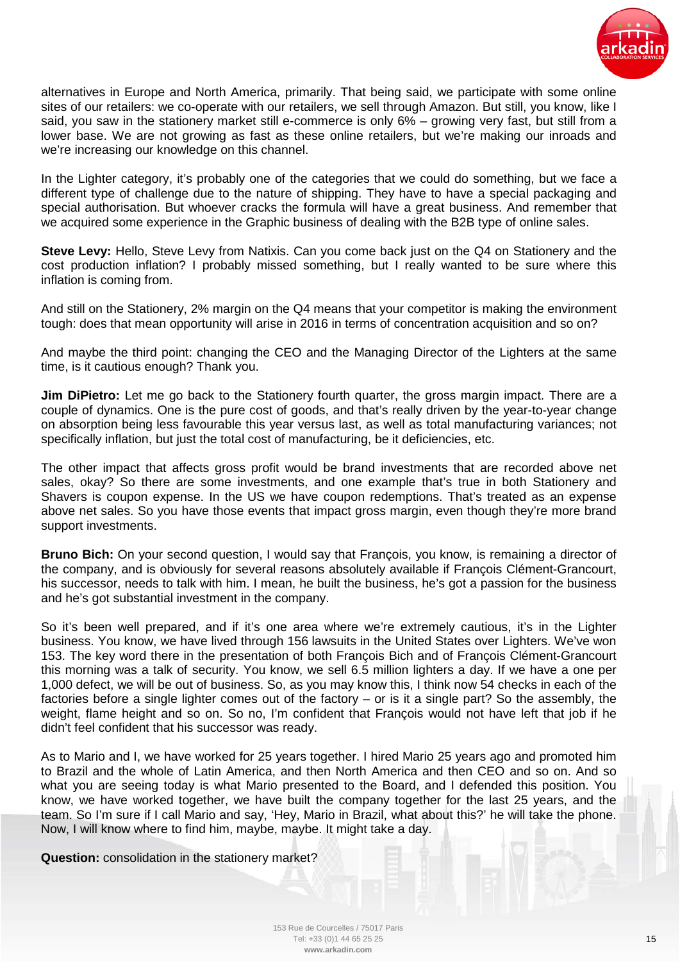

alternatives in Europe and North America, primarily. That being said, we participate with some online sites of our retailers: we co-operate with our retailers, we sell through Amazon. But still, you know, like I said, you saw in the stationery market still e-commerce is only 6% – growing very fast, but still from a lower base. We are not growing as fast as these online retailers, but we're making our inroads and we're increasing our knowledge on this channel.

In the Lighter category, it's probably one of the categories that we could do something, but we face a different type of challenge due to the nature of shipping. They have to have a special packaging and special authorisation. But whoever cracks the formula will have a great business. And remember that we acquired some experience in the Graphic business of dealing with the B2B type of online sales.

**Steve Levy:** Hello, Steve Levy from Natixis. Can you come back just on the Q4 on Stationery and the cost production inflation? I probably missed something, but I really wanted to be sure where this inflation is coming from.

And still on the Stationery, 2% margin on the Q4 means that your competitor is making the environment tough: does that mean opportunity will arise in 2016 in terms of concentration acquisition and so on?

And maybe the third point: changing the CEO and the Managing Director of the Lighters at the same time, is it cautious enough? Thank you.

**Jim DiPietro:** Let me go back to the Stationery fourth quarter, the gross margin impact. There are a couple of dynamics. One is the pure cost of goods, and that's really driven by the year-to-year change on absorption being less favourable this year versus last, as well as total manufacturing variances; not specifically inflation, but just the total cost of manufacturing, be it deficiencies, etc.

The other impact that affects gross profit would be brand investments that are recorded above net sales, okay? So there are some investments, and one example that's true in both Stationery and Shavers is coupon expense. In the US we have coupon redemptions. That's treated as an expense above net sales. So you have those events that impact gross margin, even though they're more brand support investments.

**Bruno Bich:** On your second question, I would say that François, you know, is remaining a director of the company, and is obviously for several reasons absolutely available if François Clément-Grancourt, his successor, needs to talk with him. I mean, he built the business, he's got a passion for the business and he's got substantial investment in the company.

So it's been well prepared, and if it's one area where we're extremely cautious, it's in the Lighter business. You know, we have lived through 156 lawsuits in the United States over Lighters. We've won 153. The key word there in the presentation of both François Bich and of François Clément-Grancourt this morning was a talk of security. You know, we sell 6.5 million lighters a day. If we have a one per 1,000 defect, we will be out of business. So, as you may know this, I think now 54 checks in each of the factories before a single lighter comes out of the factory – or is it a single part? So the assembly, the weight, flame height and so on. So no, I'm confident that François would not have left that job if he didn't feel confident that his successor was ready.

As to Mario and I, we have worked for 25 years together. I hired Mario 25 years ago and promoted him to Brazil and the whole of Latin America, and then North America and then CEO and so on. And so what you are seeing today is what Mario presented to the Board, and I defended this position. You know, we have worked together, we have built the company together for the last 25 years, and the team. So I'm sure if I call Mario and say, 'Hey, Mario in Brazil, what about this?' he will take the phone. Now, I will know where to find him, maybe, maybe. It might take a day.

**Question:** consolidation in the stationery market?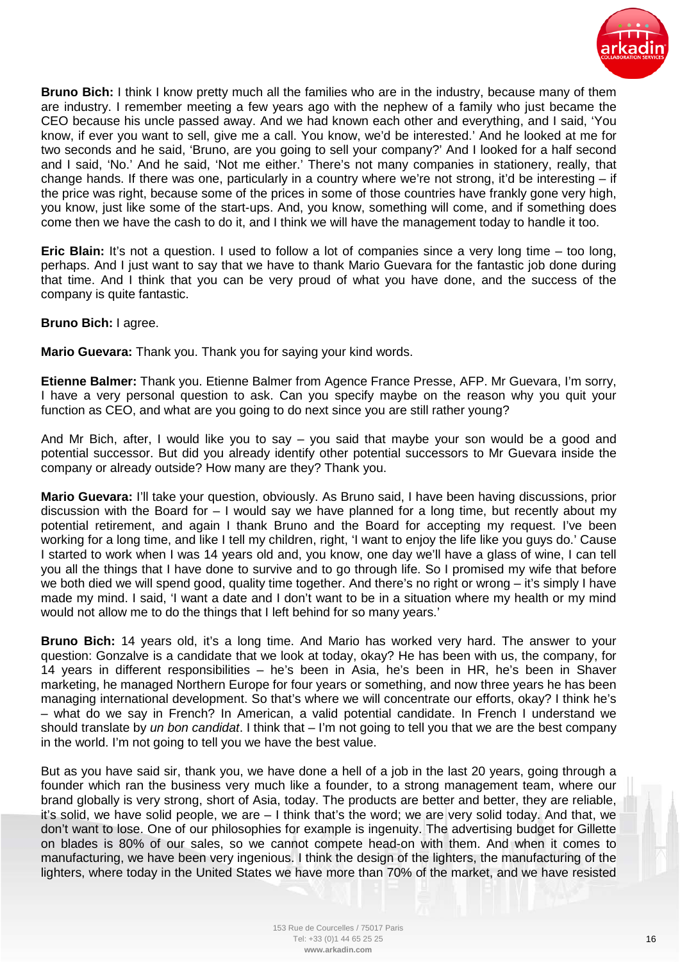

**Bruno Bich:** I think I know pretty much all the families who are in the industry, because many of them are industry. I remember meeting a few years ago with the nephew of a family who just became the CEO because his uncle passed away. And we had known each other and everything, and I said, 'You know, if ever you want to sell, give me a call. You know, we'd be interested.' And he looked at me for two seconds and he said, 'Bruno, are you going to sell your company?' And I looked for a half second and I said, 'No.' And he said, 'Not me either.' There's not many companies in stationery, really, that change hands. If there was one, particularly in a country where we're not strong, it'd be interesting – if the price was right, because some of the prices in some of those countries have frankly gone very high, you know, just like some of the start-ups. And, you know, something will come, and if something does come then we have the cash to do it, and I think we will have the management today to handle it too.

**Eric Blain:** It's not a question. I used to follow a lot of companies since a very long time – too long, perhaps. And I just want to say that we have to thank Mario Guevara for the fantastic job done during that time. And I think that you can be very proud of what you have done, and the success of the company is quite fantastic.

## **Bruno Bich:** I agree.

**Mario Guevara:** Thank you. Thank you for saying your kind words.

**Etienne Balmer:** Thank you. Etienne Balmer from Agence France Presse, AFP. Mr Guevara, I'm sorry, I have a very personal question to ask. Can you specify maybe on the reason why you quit your function as CEO, and what are you going to do next since you are still rather young?

And Mr Bich, after, I would like you to say – you said that maybe your son would be a good and potential successor. But did you already identify other potential successors to Mr Guevara inside the company or already outside? How many are they? Thank you.

**Mario Guevara:** I'll take your question, obviously. As Bruno said, I have been having discussions, prior discussion with the Board for  $-1$  would say we have planned for a long time, but recently about my potential retirement, and again I thank Bruno and the Board for accepting my request. I've been working for a long time, and like I tell my children, right, 'I want to enjoy the life like you guys do.' Cause I started to work when I was 14 years old and, you know, one day we'll have a glass of wine, I can tell you all the things that I have done to survive and to go through life. So I promised my wife that before we both died we will spend good, quality time together. And there's no right or wrong – it's simply I have made my mind. I said, 'I want a date and I don't want to be in a situation where my health or my mind would not allow me to do the things that I left behind for so many years.'

**Bruno Bich:** 14 years old, it's a long time. And Mario has worked very hard. The answer to your question: Gonzalve is a candidate that we look at today, okay? He has been with us, the company, for 14 years in different responsibilities – he's been in Asia, he's been in HR, he's been in Shaver marketing, he managed Northern Europe for four years or something, and now three years he has been managing international development. So that's where we will concentrate our efforts, okay? I think he's – what do we say in French? In American, a valid potential candidate. In French I understand we should translate by *un bon candidat*. I think that – I'm not going to tell you that we are the best company in the world. I'm not going to tell you we have the best value.

But as you have said sir, thank you, we have done a hell of a job in the last 20 years, going through a founder which ran the business very much like a founder, to a strong management team, where our brand globally is very strong, short of Asia, today. The products are better and better, they are reliable, it's solid, we have solid people, we are – I think that's the word; we are very solid today. And that, we don't want to lose. One of our philosophies for example is ingenuity. The advertising budget for Gillette on blades is 80% of our sales, so we cannot compete head-on with them. And when it comes to manufacturing, we have been very ingenious. I think the design of the lighters, the manufacturing of the lighters, where today in the United States we have more than 70% of the market, and we have resisted